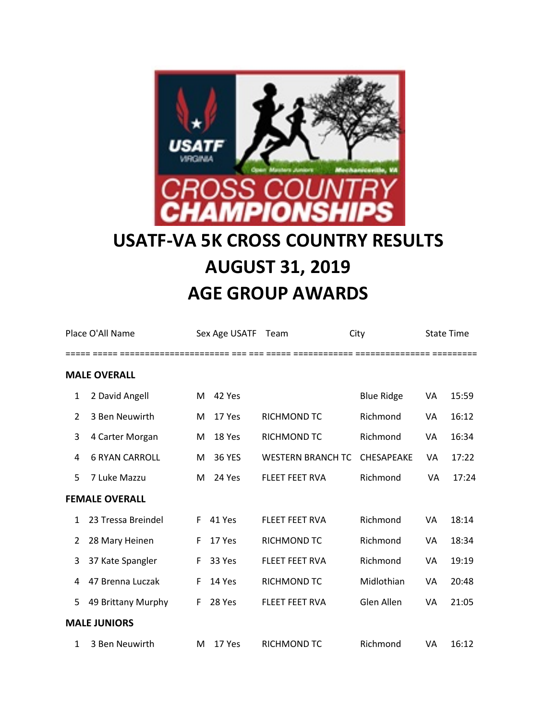

## **USATF-VA 5K CROSS COUNTRY RESULTS AUGUST 31, 2019 AGE GROUP AWARDS**

| Place O'All Name |                       |    | Sex Age USATF | Team                     | City              |    | <b>State Time</b> |
|------------------|-----------------------|----|---------------|--------------------------|-------------------|----|-------------------|
|                  | <b>MALE OVERALL</b>   |    |               |                          |                   |    |                   |
| $\mathbf{1}$     | 2 David Angell        | м  | 42 Yes        |                          | <b>Blue Ridge</b> | VA | 15:59             |
| 2                | 3 Ben Neuwirth        | М  | 17 Yes        | RICHMOND TC              | Richmond          | VA | 16:12             |
| 3                | 4 Carter Morgan       | М  | 18 Yes        | RICHMOND TC              | Richmond          | VA | 16:34             |
| 4                | <b>6 RYAN CARROLL</b> | М  | <b>36 YES</b> | <b>WESTERN BRANCH TC</b> | CHESAPEAKE        | VA | 17:22             |
| 5                | 7 Luke Mazzu          | м  | 24 Yes        | <b>FLEET FEET RVA</b>    | Richmond          | VA | 17:24             |
|                  | <b>FEMALE OVERALL</b> |    |               |                          |                   |    |                   |
| $\mathbf{1}$     | 23 Tressa Breindel    | F. | 41 Yes        | <b>FLEET FEET RVA</b>    | Richmond          | VA | 18:14             |
| 2                | 28 Mary Heinen        | F. | 17 Yes        | RICHMOND TC              | Richmond          | VA | 18:34             |
| 3                | 37 Kate Spangler      | F  | 33 Yes        | <b>FLEET FEET RVA</b>    | Richmond          | VA | 19:19             |
| 4                | 47 Brenna Luczak      | F  | 14 Yes        | RICHMOND TC              | Midlothian        | VA | 20:48             |
| 5                | 49 Brittany Murphy    | F  | 28 Yes        | <b>FLEET FEET RVA</b>    | Glen Allen        | VA | 21:05             |
|                  | <b>MALE JUNIORS</b>   |    |               |                          |                   |    |                   |
| 1                | 3 Ben Neuwirth        | M  | 17 Yes        | RICHMOND TC              | Richmond          | VA | 16:12             |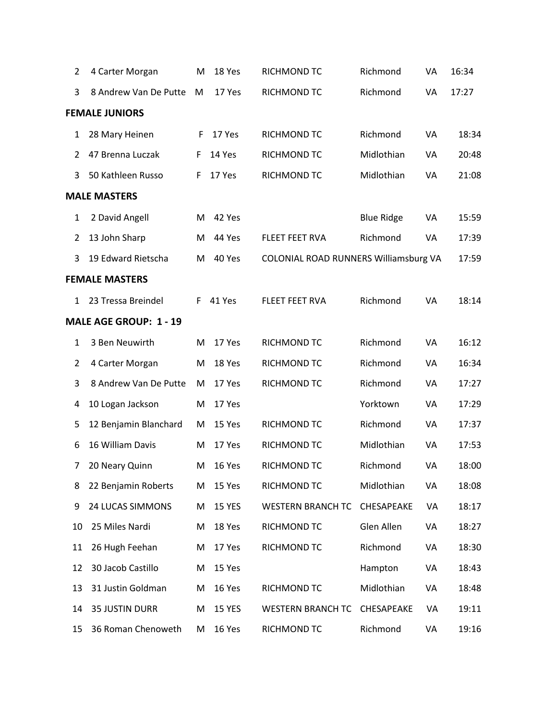| $\overline{2}$ | 4 Carter Morgan        | Μ  | 18 Yes        | RICHMOND TC                           | Richmond          | VA | 16:34 |
|----------------|------------------------|----|---------------|---------------------------------------|-------------------|----|-------|
| 3              | 8 Andrew Van De Putte  | M  | 17 Yes        | RICHMOND TC                           | Richmond          | VA | 17:27 |
|                | <b>FEMALE JUNIORS</b>  |    |               |                                       |                   |    |       |
| $\mathbf{1}$   | 28 Mary Heinen         | F  | 17 Yes        | RICHMOND TC                           | Richmond          | VA | 18:34 |
| 2              | 47 Brenna Luczak       | F  | 14 Yes        | RICHMOND TC                           | Midlothian        | VA | 20:48 |
| 3              | 50 Kathleen Russo      | F  | 17 Yes        | RICHMOND TC                           | Midlothian        | VA | 21:08 |
|                | <b>MALE MASTERS</b>    |    |               |                                       |                   |    |       |
| $\mathbf{1}$   | 2 David Angell         | M  | 42 Yes        |                                       | <b>Blue Ridge</b> | VA | 15:59 |
| $\overline{2}$ | 13 John Sharp          | M  | 44 Yes        | FLEET FEET RVA                        | Richmond          | VA | 17:39 |
| 3              | 19 Edward Rietscha     | M  | 40 Yes        | COLONIAL ROAD RUNNERS Williamsburg VA |                   |    | 17:59 |
|                | <b>FEMALE MASTERS</b>  |    |               |                                       |                   |    |       |
| 1              | 23 Tressa Breindel     | F. | 41 Yes        | <b>FLEET FEET RVA</b>                 | Richmond          | VA | 18:14 |
|                | MALE AGE GROUP: 1 - 19 |    |               |                                       |                   |    |       |
| $\mathbf{1}$   | 3 Ben Neuwirth         | M  | 17 Yes        | RICHMOND TC                           | Richmond          | VA | 16:12 |
| $\overline{2}$ | 4 Carter Morgan        | M  | 18 Yes        | RICHMOND TC                           | Richmond          | VA | 16:34 |
| 3              | 8 Andrew Van De Putte  | M  | 17 Yes        | RICHMOND TC                           | Richmond          | VA | 17:27 |
| 4              | 10 Logan Jackson       | M  | 17 Yes        |                                       | Yorktown          | VA | 17:29 |
| 5              | 12 Benjamin Blanchard  | M  | 15 Yes        | RICHMOND TC                           | Richmond          | VA | 17:37 |
| 6              | 16 William Davis       | M  | 17 Yes        | RICHMOND TC                           | Midlothian        | VA | 17:53 |
| 7              | 20 Neary Quinn         | M  | 16 Yes        | RICHMOND TC                           | Richmond          | VA | 18:00 |
| 8              | 22 Benjamin Roberts    | M  | 15 Yes        | RICHMOND TC                           | Midlothian        | VA | 18:08 |
| 9              | 24 LUCAS SIMMONS       | Μ  | <b>15 YES</b> | <b>WESTERN BRANCH TC</b>              | CHESAPEAKE        | VA | 18:17 |
| 10             | 25 Miles Nardi         | М  | 18 Yes        | RICHMOND TC                           | Glen Allen        | VA | 18:27 |
| 11             | 26 Hugh Feehan         | М  | 17 Yes        | RICHMOND TC                           | Richmond          | VA | 18:30 |
| 12             | 30 Jacob Castillo      | М  | 15 Yes        |                                       | Hampton           | VA | 18:43 |
| 13             | 31 Justin Goldman      | M  | 16 Yes        | RICHMOND TC                           | Midlothian        | VA | 18:48 |
| 14             | <b>35 JUSTIN DURR</b>  | M  | <b>15 YES</b> | <b>WESTERN BRANCH TC</b>              | CHESAPEAKE        | VA | 19:11 |
| 15             | 36 Roman Chenoweth     | М  | 16 Yes        | RICHMOND TC                           | Richmond          | VA | 19:16 |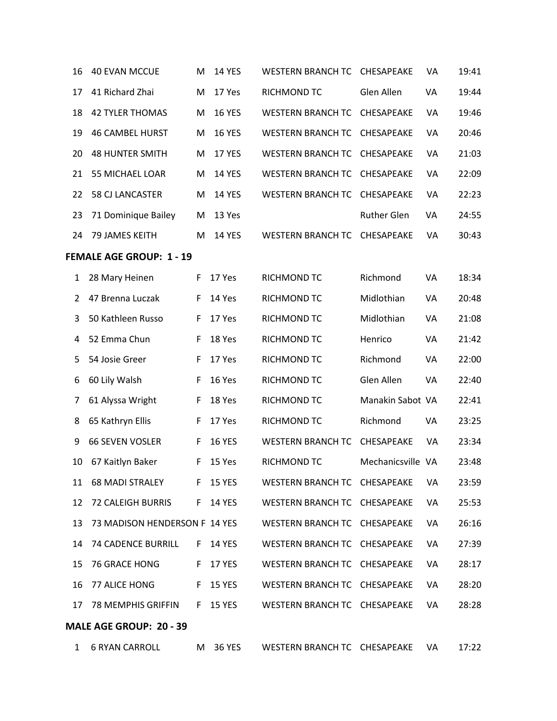| 16                              | <b>40 EVAN MCCUE</b>          | M  | <b>14 YES</b> | <b>WESTERN BRANCH TC</b>     | CHESAPEAKE         | VA | 19:41 |  |
|---------------------------------|-------------------------------|----|---------------|------------------------------|--------------------|----|-------|--|
| 17                              | 41 Richard Zhai               | M  | 17 Yes        | RICHMOND TC                  | Glen Allen         | VA | 19:44 |  |
| 18                              | <b>42 TYLER THOMAS</b>        | M  | <b>16 YES</b> | <b>WESTERN BRANCH TC</b>     | CHESAPEAKE         | VA | 19:46 |  |
| 19                              | <b>46 CAMBEL HURST</b>        | M  | <b>16 YES</b> | <b>WESTERN BRANCH TC</b>     | CHESAPEAKE         | VA | 20:46 |  |
| 20                              | <b>48 HUNTER SMITH</b>        | M  | 17 YES        | <b>WESTERN BRANCH TC</b>     | CHESAPEAKE         | VA | 21:03 |  |
| 21                              | <b>55 MICHAEL LOAR</b>        | M  | <b>14 YES</b> | <b>WESTERN BRANCH TC</b>     | CHESAPEAKE         | VA | 22:09 |  |
| 22                              | 58 CJ LANCASTER               | M  | <b>14 YES</b> | <b>WESTERN BRANCH TC</b>     | CHESAPEAKE         | VA | 22:23 |  |
| 23                              | 71 Dominique Bailey           | M  | 13 Yes        |                              | <b>Ruther Glen</b> | VA | 24:55 |  |
| 24                              | 79 JAMES KEITH                | M  | <b>14 YES</b> | <b>WESTERN BRANCH TC</b>     | CHESAPEAKE         | VA | 30:43 |  |
| <b>FEMALE AGE GROUP: 1 - 19</b> |                               |    |               |                              |                    |    |       |  |
| 1                               | 28 Mary Heinen                | F  | 17 Yes        | RICHMOND TC                  | Richmond           | VA | 18:34 |  |
| 2                               | 47 Brenna Luczak              | F  | 14 Yes        | RICHMOND TC                  | Midlothian         | VA | 20:48 |  |
| 3                               | 50 Kathleen Russo             | F  | 17 Yes        | RICHMOND TC                  | Midlothian         | VA | 21:08 |  |
| 4                               | 52 Emma Chun                  | F  | 18 Yes        | RICHMOND TC                  | Henrico            | VA | 21:42 |  |
| 5                               | 54 Josie Greer                | F  | 17 Yes        | RICHMOND TC                  | Richmond           | VA | 22:00 |  |
| 6                               | 60 Lily Walsh                 | F  | 16 Yes        | RICHMOND TC                  | Glen Allen         | VA | 22:40 |  |
| 7                               | 61 Alyssa Wright              | F  | 18 Yes        | RICHMOND TC                  | Manakin Sabot VA   |    | 22:41 |  |
| 8                               | 65 Kathryn Ellis              | F  | 17 Yes        | RICHMOND TC                  | Richmond           | VA | 23:25 |  |
| 9                               | <b>66 SEVEN VOSLER</b>        | F  | <b>16 YES</b> | <b>WESTERN BRANCH TC</b>     | CHESAPEAKE         | VA | 23:34 |  |
| 10                              | 67 Kaitlyn Baker              | F  | 15 Yes        | RICHMOND TC                  | Mechanicsville VA  |    | 23:48 |  |
| 11                              | <b>68 MADI STRALEY</b>        |    | F 15 YES      | WESTERN BRANCH TC CHESAPEAKE |                    | VA | 23:59 |  |
| 12                              | 72 CALEIGH BURRIS             | F. | <b>14 YES</b> | WESTERN BRANCH TC CHESAPEAKE |                    | VA | 25:53 |  |
| 13                              | 73 MADISON HENDERSON F 14 YES |    |               | WESTERN BRANCH TC CHESAPEAKE |                    | VA | 26:16 |  |
| 14                              | <b>74 CADENCE BURRILL</b>     | F. | <b>14 YES</b> | <b>WESTERN BRANCH TC</b>     | CHESAPEAKE         | VA | 27:39 |  |
| 15                              | <b>76 GRACE HONG</b>          | F. | <b>17 YES</b> | WESTERN BRANCH TC CHESAPEAKE |                    | VA | 28:17 |  |
| 16                              | 77 ALICE HONG                 | F. | <b>15 YES</b> | WESTERN BRANCH TC CHESAPEAKE |                    | VA | 28:20 |  |
| 17                              | 78 MEMPHIS GRIFFIN            | F. | <b>15 YES</b> | WESTERN BRANCH TC CHESAPEAKE |                    | VA | 28:28 |  |
|                                 | MALE AGE GROUP: 20 - 39       |    |               |                              |                    |    |       |  |
| $\mathbf{1}$                    | <b>6 RYAN CARROLL</b>         |    | M 36 YES      | WESTERN BRANCH TC CHESAPEAKE |                    | VA | 17:22 |  |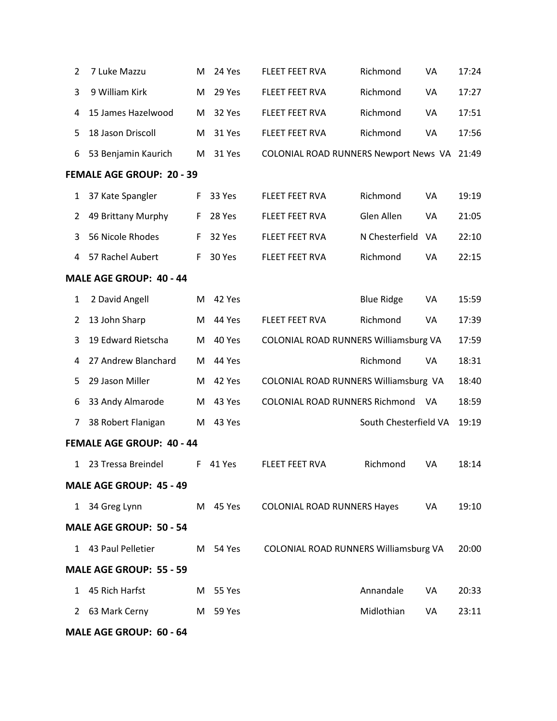| $\overline{2}$ | 7 Luke Mazzu              | M  | 24 Yes   | <b>FLEET FEET RVA</b>                 | Richmond              | VA | 17:24 |
|----------------|---------------------------|----|----------|---------------------------------------|-----------------------|----|-------|
| 3              | 9 William Kirk            | M  | 29 Yes   | FLEET FEET RVA                        | Richmond              | VA | 17:27 |
| 4              | 15 James Hazelwood        | M  | 32 Yes   | FLEET FEET RVA                        | Richmond              | VA | 17:51 |
| 5              | 18 Jason Driscoll         | M  | 31 Yes   | FLEET FEET RVA                        | Richmond              | VA | 17:56 |
| 6              | 53 Benjamin Kaurich       | M  | 31 Yes   | COLONIAL ROAD RUNNERS Newport News VA |                       |    | 21:49 |
|                | FEMALE AGE GROUP: 20 - 39 |    |          |                                       |                       |    |       |
| $\mathbf{1}$   | 37 Kate Spangler          | F  | 33 Yes   | FLEET FEET RVA                        | Richmond              | VA | 19:19 |
| $\overline{2}$ | 49 Brittany Murphy        | F  | 28 Yes   | FLEET FEET RVA                        | Glen Allen            | VA | 21:05 |
| 3              | 56 Nicole Rhodes          | F  | 32 Yes   | FLEET FEET RVA                        | N Chesterfield        | VA | 22:10 |
| 4              | 57 Rachel Aubert          | F. | 30 Yes   | FLEET FEET RVA                        | Richmond              | VA | 22:15 |
|                | MALE AGE GROUP: 40 - 44   |    |          |                                       |                       |    |       |
| $\mathbf 1$    | 2 David Angell            | M  | 42 Yes   |                                       | <b>Blue Ridge</b>     | VA | 15:59 |
| $\overline{2}$ | 13 John Sharp             | M  | 44 Yes   | FLEET FEET RVA                        | Richmond              | VA | 17:39 |
| 3              | 19 Edward Rietscha        | M  | 40 Yes   | COLONIAL ROAD RUNNERS Williamsburg VA |                       |    | 17:59 |
| 4              | 27 Andrew Blanchard       | М  | 44 Yes   |                                       | Richmond              | VA | 18:31 |
| 5              | 29 Jason Miller           | M  | 42 Yes   | COLONIAL ROAD RUNNERS Williamsburg VA |                       |    | 18:40 |
| 6              | 33 Andy Almarode          | М  | 43 Yes   | COLONIAL ROAD RUNNERS Richmond        |                       | VA | 18:59 |
| 7              | 38 Robert Flanigan        | М  | 43 Yes   |                                       | South Chesterfield VA |    | 19:19 |
|                | FEMALE AGE GROUP: 40 - 44 |    |          |                                       |                       |    |       |
| $\mathbf{1}$   | 23 Tressa Breindel        | F. | 41 Yes   | FLEET FEET RVA                        | Richmond              | VA | 18:14 |
|                | MALE AGE GROUP: 45 - 49   |    |          |                                       |                       |    |       |
|                | 1 34 Greg Lynn            |    | M 45 Yes | COLONIAL ROAD RUNNERS Hayes           |                       | VA | 19:10 |
|                | MALE AGE GROUP: 50 - 54   |    |          |                                       |                       |    |       |
|                | 1 43 Paul Pelletier       |    | M 54 Yes | COLONIAL ROAD RUNNERS Williamsburg VA |                       |    | 20:00 |
|                | MALE AGE GROUP: 55 - 59   |    |          |                                       |                       |    |       |
| 1              | 45 Rich Harfst            |    | M 55 Yes |                                       | Annandale             | VA | 20:33 |
|                | 2 63 Mark Cerny           |    | M 59 Yes |                                       | Midlothian            | VA | 23:11 |
|                | MALE AGE GROUP: 60 - 64   |    |          |                                       |                       |    |       |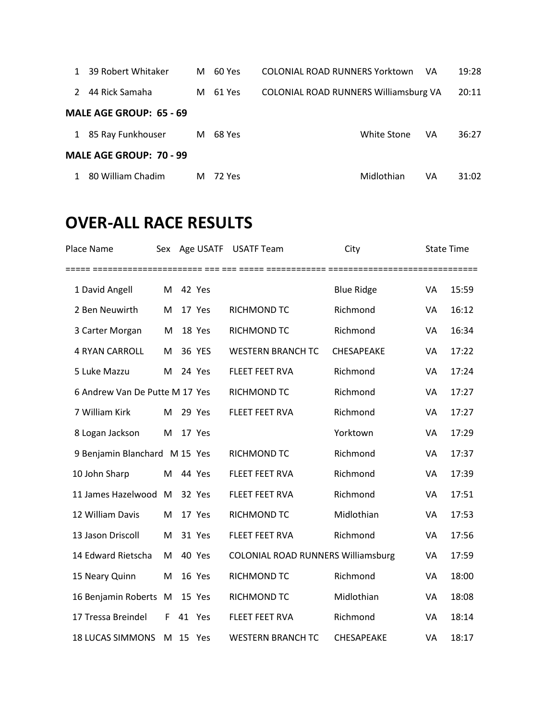|                                | 39 Robert Whitaker | м | 60 Yes | COLONIAL ROAD RUNNERS Yorktown        |             | VA | 19:28 |  |  |
|--------------------------------|--------------------|---|--------|---------------------------------------|-------------|----|-------|--|--|
| $\mathcal{P}$                  | 44 Rick Samaha     | м | 61 Yes | COLONIAL ROAD RUNNERS Williamsburg VA |             |    | 20:11 |  |  |
| MALE AGE GROUP: 65 - 69        |                    |   |        |                                       |             |    |       |  |  |
| $\mathbf{1}$                   | 85 Ray Funkhouser  | M | 68 Yes |                                       | White Stone | VA | 36:27 |  |  |
| <b>MALE AGE GROUP: 70 - 99</b> |                    |   |        |                                       |             |    |       |  |  |
|                                | 80 William Chadim  | M | 72 Yes |                                       | Midlothian  | VA | 31:02 |  |  |

## **OVER-ALL RACE RESULTS**

| Place Name                     |   |    |          | Sex Age USATF USATF Team                  | City              | <b>State Time</b> |       |
|--------------------------------|---|----|----------|-------------------------------------------|-------------------|-------------------|-------|
| 1 David Angell                 | M |    | 42 Yes   |                                           | <b>Blue Ridge</b> | VA                | 15:59 |
| 2 Ben Neuwirth                 | M |    | 17 Yes   | RICHMOND TC                               | Richmond          | VA                | 16:12 |
| 3 Carter Morgan                | M |    | 18 Yes   | <b>RICHMOND TC</b>                        | Richmond          | VA                | 16:34 |
| <b>4 RYAN CARROLL</b>          | M |    | 36 YES   | <b>WESTERN BRANCH TC</b>                  | <b>CHESAPEAKE</b> | VA                | 17:22 |
| 5 Luke Mazzu                   | M |    | 24 Yes   | <b>FLEET FEET RVA</b>                     | Richmond          | VA                | 17:24 |
| 6 Andrew Van De Putte M 17 Yes |   |    |          | RICHMOND TC                               | Richmond          | VA                | 17:27 |
| 7 William Kirk                 | M |    | 29 Yes   | <b>FLEET FEET RVA</b>                     | Richmond          | VA                | 17:27 |
| 8 Logan Jackson                | M |    | 17 Yes   |                                           | Yorktown          | VA                | 17:29 |
| 9 Benjamin Blanchard M 15 Yes  |   |    |          | RICHMOND TC                               | Richmond          | VA                | 17:37 |
| 10 John Sharp                  | M |    | 44 Yes   | <b>FLEET FEET RVA</b>                     | Richmond          | VA                | 17:39 |
| 11 James Hazelwood             | M |    | 32 Yes   | FLEET FEET RVA                            | Richmond          | VA                | 17:51 |
| 12 William Davis               | M |    | 17 Yes   | RICHMOND TC                               | Midlothian        | VA                | 17:53 |
| 13 Jason Driscoll              | M |    | 31 Yes   | <b>FLEET FEET RVA</b>                     | Richmond          | VA                | 17:56 |
| 14 Edward Rietscha             | M |    | 40 Yes   | <b>COLONIAL ROAD RUNNERS Williamsburg</b> |                   | VA                | 17:59 |
| 15 Neary Quinn                 | M |    | 16 Yes   | RICHMOND TC                               | Richmond          | VA                | 18:00 |
| 16 Benjamin Roberts            | M |    | 15 Yes   | RICHMOND TC                               | Midlothian        | VA                | 18:08 |
| 17 Tressa Breindel             | F | 41 | Yes      | <b>FLEET FEET RVA</b>                     | Richmond          | VA                | 18:14 |
| <b>18 LUCAS SIMMONS</b>        |   |    | M 15 Yes | <b>WESTERN BRANCH TC</b>                  | CHESAPEAKE        | VA                | 18:17 |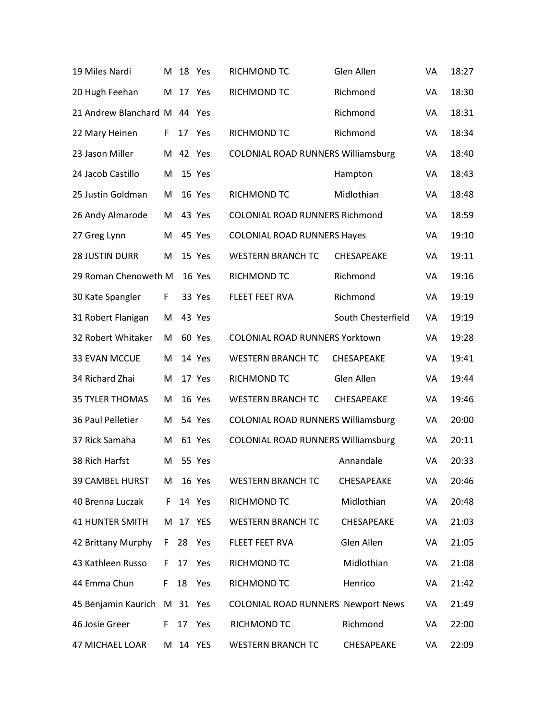| 19 Miles Nardi         | м  | 18 Yes   |          | RICHMOND TC                               | Glen Allen         | VA | 18:27 |
|------------------------|----|----------|----------|-------------------------------------------|--------------------|----|-------|
| 20 Hugh Feehan         | M  | 17       | Yes      | RICHMOND TC                               | Richmond           | VA | 18:30 |
| 21 Andrew Blanchard M  |    | 44       | Yes      |                                           | Richmond           | VA | 18:31 |
| 22 Mary Heinen         | F  | 17       | Yes      | RICHMOND TC                               | Richmond           | VA | 18:34 |
| 23 Jason Miller        |    | M 42 Yes |          | <b>COLONIAL ROAD RUNNERS Williamsburg</b> |                    | VA | 18:40 |
| 24 Jacob Castillo      | M  |          | 15 Yes   |                                           | Hampton            | VA | 18:43 |
| 25 Justin Goldman      | M  |          | 16 Yes   | RICHMOND TC                               | Midlothian         | VA | 18:48 |
| 26 Andy Almarode       | M  |          | 43 Yes   | COLONIAL ROAD RUNNERS Richmond            |                    | VA | 18:59 |
| 27 Greg Lynn           | Μ  |          | 45 Yes   | <b>COLONIAL ROAD RUNNERS Hayes</b>        |                    | VA | 19:10 |
| <b>28 JUSTIN DURR</b>  | M  |          | 15 Yes   | <b>WESTERN BRANCH TC</b>                  | CHESAPEAKE         | VA | 19:11 |
| 29 Roman Chenoweth M   |    |          | 16 Yes   | RICHMOND TC                               | Richmond           | VA | 19:16 |
| 30 Kate Spangler       | F  |          | 33 Yes   | FLEET FEET RVA                            | Richmond           | VA | 19:19 |
| 31 Robert Flanigan     | M  |          | 43 Yes   |                                           | South Chesterfield | VA | 19:19 |
| 32 Robert Whitaker     | M  |          | 60 Yes   | <b>COLONIAL ROAD RUNNERS Yorktown</b>     |                    | VA | 19:28 |
| 33 EVAN MCCUE          | M  |          | 14 Yes   | <b>WESTERN BRANCH TC</b>                  | CHESAPEAKE         | VA | 19:41 |
| 34 Richard Zhai        | M  |          | 17 Yes   | RICHMOND TC                               | Glen Allen         | VA | 19:44 |
| <b>35 TYLER THOMAS</b> | M  |          | 16 Yes   | <b>WESTERN BRANCH TC</b>                  | CHESAPEAKE         | VA | 19:46 |
| 36 Paul Pelletier      | M  |          | 54 Yes   | <b>COLONIAL ROAD RUNNERS Williamsburg</b> |                    | VA | 20:00 |
| 37 Rick Samaha         | M  |          | 61 Yes   | COLONIAL ROAD RUNNERS Williamsburg        |                    | VA | 20:11 |
| 38 Rich Harfst         | M  |          | 55 Yes   |                                           | Annandale          | VA | 20:33 |
| 39 CAMBEL HURST        | M  |          | 16 Yes   | <b>WESTERN BRANCH TC</b>                  | CHESAPEAKE         | VA | 20:46 |
| 40 Brenna Luczak       | F. |          | 14 Yes   | RICHMOND TC                               | Midlothian         | VA | 20:48 |
| <b>41 HUNTER SMITH</b> | M  | 17       | YES      | <b>WESTERN BRANCH TC</b>                  | CHESAPEAKE         | VA | 21:03 |
| 42 Brittany Murphy     | F. | 28 Yes   |          | FLEET FEET RVA                            | Glen Allen         | VA | 21:05 |
| 43 Kathleen Russo      | F. | 17       | Yes      | RICHMOND TC                               | Midlothian         | VA | 21:08 |
| 44 Emma Chun           | F. | 18       | Yes      | RICHMOND TC                               | Henrico            | VA | 21:42 |
| 45 Benjamin Kaurich    |    | M 31 Yes |          | <b>COLONIAL ROAD RUNNERS Newport News</b> |                    | VA | 21:49 |
| 46 Josie Greer         | F. |          | 17 Yes   | RICHMOND TC                               | Richmond           | VA | 22:00 |
| 47 MICHAEL LOAR        |    |          | M 14 YES | <b>WESTERN BRANCH TC</b>                  | CHESAPEAKE         | VA | 22:09 |